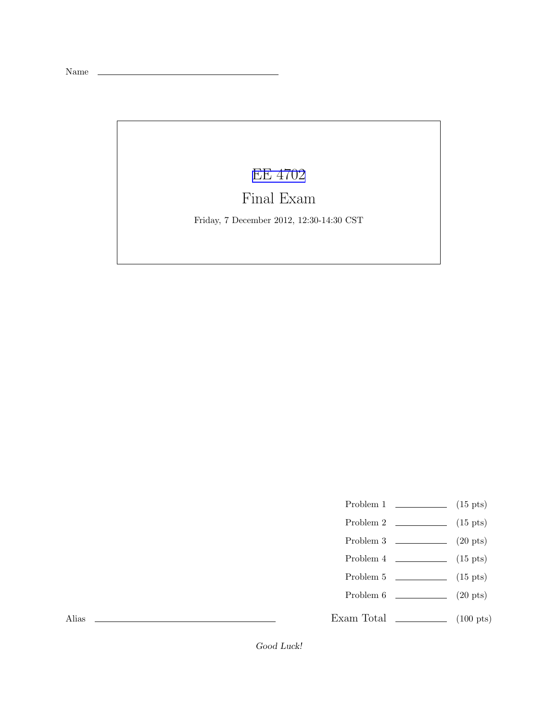Name

## [EE 4702](http://www.ece.lsu.edu/koppel/gpup/)

## Final Exam

Friday, 7 December 2012, 12:30-14:30 CST

- Problem 1  $\qquad \qquad$  (15 pts)
- Problem 2  $\qquad \qquad$  (15 pts)
- Problem 3 (20 pts)
- Problem 4  $\sim$  (15 pts)
- Problem 5  $\qquad \qquad$  (15 pts)
- Problem 6  $\qquad \qquad$  (20 pts)
- Exam Total  $\qquad \qquad$  (100 pts)

Alias

Good Luck!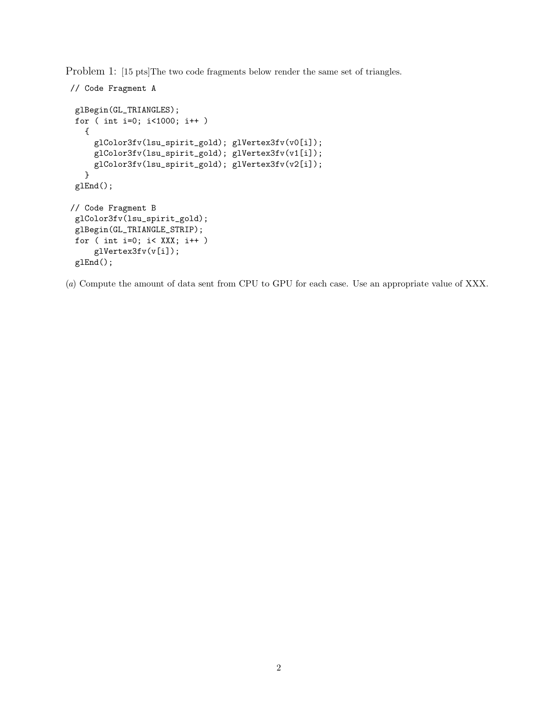Problem 1: [15 pts]The two code fragments below render the same set of triangles.

```
// Code Fragment A
 glBegin(GL_TRIANGLES);
 for ( int i=0; i<1000; i++ )
   {
     glColor3fv(lsu_spirit_gold); glVertex3fv(v0[i]);
     glColor3fv(lsu_spirit_gold); glVertex3fv(v1[i]);
     glColor3fv(lsu_spirit_gold); glVertex3fv(v2[i]);
   }
 glEnd();
// Code Fragment B
 glColor3fv(lsu_spirit_gold);
 glBegin(GL_TRIANGLE_STRIP);
 for ( int i=0; i< XXX; i++ )
     glVertex3fv(v[i]);
 glEnd();
```
(*a*) Compute the amount of data sent from CPU to GPU for each case. Use an appropriate value of XXX.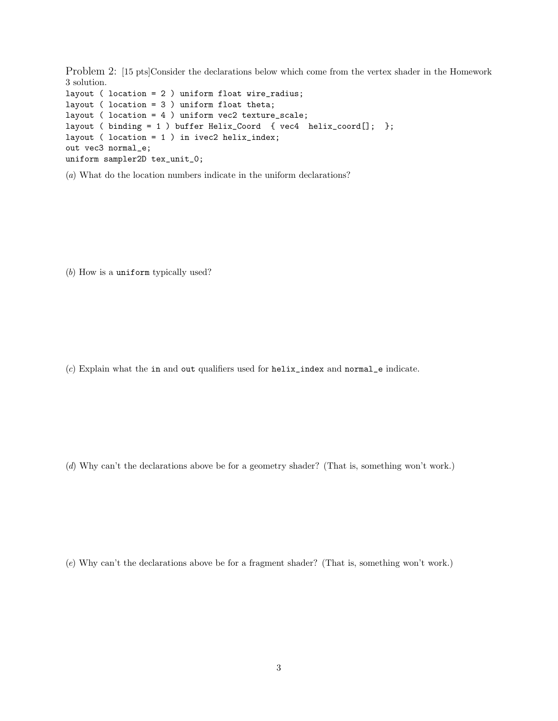Problem 2: [15 pts]Consider the declarations below which come from the vertex shader in the Homework 3 solution.

layout ( location = 2 ) uniform float wire\_radius; layout ( location = 3 ) uniform float theta; layout ( location = 4 ) uniform vec2 texture\_scale; layout ( binding = 1 ) buffer Helix\_Coord { vec4 helix\_coord[]; }; layout ( location = 1 ) in ivec2 helix\_index; out vec3 normal\_e; uniform sampler2D tex\_unit\_0;

(*a*) What do the location numbers indicate in the uniform declarations?

(*b*) How is a uniform typically used?

(*c*) Explain what the in and out qualifiers used for helix\_index and normal\_e indicate.

(*d*) Why can't the declarations above be for a geometry shader? (That is, something won't work.)

(*e*) Why can't the declarations above be for a fragment shader? (That is, something won't work.)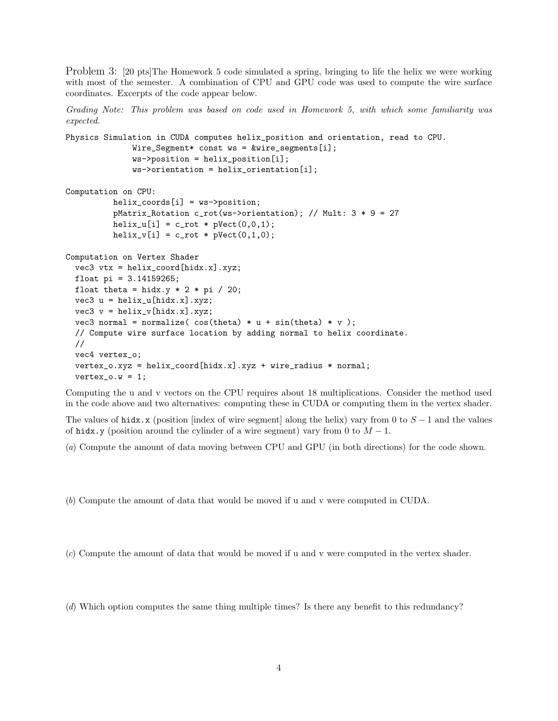Problem 3: [20 pts]The Homework 5 code simulated a spring, bringing to life the helix we were working with most of the semester. A combination of CPU and GPU code was used to compute the wire surface coordinates. Excerpts of the code appear below.

*Grading Note: This problem was based on code used in Homework 5, with which some familiarity was expected.*

```
Physics Simulation in CUDA computes helix_position and orientation, read to CPU.
              Wire_Segment* const ws = &wire_segments[i];
              ws->position = helix_position[i];
              ws->orientation = helix_orientation[i];
Computation on CPU:
          helix_coords[i] = ws->position;
          pMatrix_Rotation c_rot(ws->orientation); // Mult: 3 * 9 = 27
          helix_u[i] = c_{rot} * pVect(0,0,1);helix_v[i] = c_rot * pVect(0,1,0);Computation on Vertex Shader
  vec3 vtx = helix_coord[hidx.x].xyz;
  float pi = 3.14159265;
  float theta = hidx.y * 2 * pi / 20;
  vec3 u = \text{helix_u}[ \text{hidx.x}].xyz;vec3 v = helix_v[hidx.x].xyz;
  vec3 normal = normalize(cos(theta) * u + sin(theta) * v);
  // Compute wire surface location by adding normal to helix coordinate.
  //
```

```
vec4 vertex_o;
vertex_o.xyz = helix_coord[hidx.x].xyz + wire_radius * normal;
vertex_0.w = 1;
```
Computing the u and v vectors on the CPU requires about 18 multiplications. Consider the method used in the code above and two alternatives: computing these in CUDA or computing them in the vertex shader.

The values of hidx.x (position [index of wire segment] along the helix) vary from 0 to  $S-1$  and the values of hidx.y (position around the cylinder of a wire segment) vary from 0 to  $M - 1$ .

(*a*) Compute the amount of data moving between CPU and GPU (in both directions) for the code shown.

(*b*) Compute the amount of data that would be moved if u and v were computed in CUDA.

(*c*) Compute the amount of data that would be moved if u and v were computed in the vertex shader.

(*d*) Which option computes the same thing multiple times? Is there any benefit to this redundancy?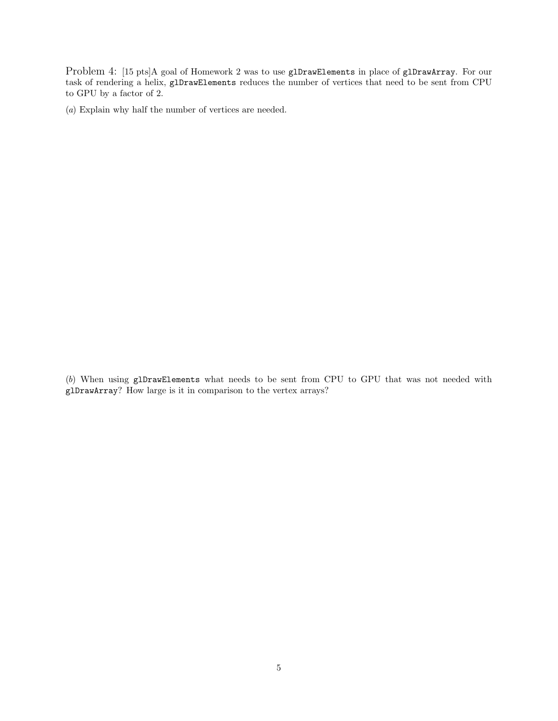Problem 4: [15 pts]A goal of Homework 2 was to use glDrawElements in place of glDrawArray. For our task of rendering a helix, glDrawElements reduces the number of vertices that need to be sent from CPU to GPU by a factor of 2.

(*a*) Explain why half the number of vertices are needed.

(*b*) When using glDrawElements what needs to be sent from CPU to GPU that was not needed with glDrawArray? How large is it in comparison to the vertex arrays?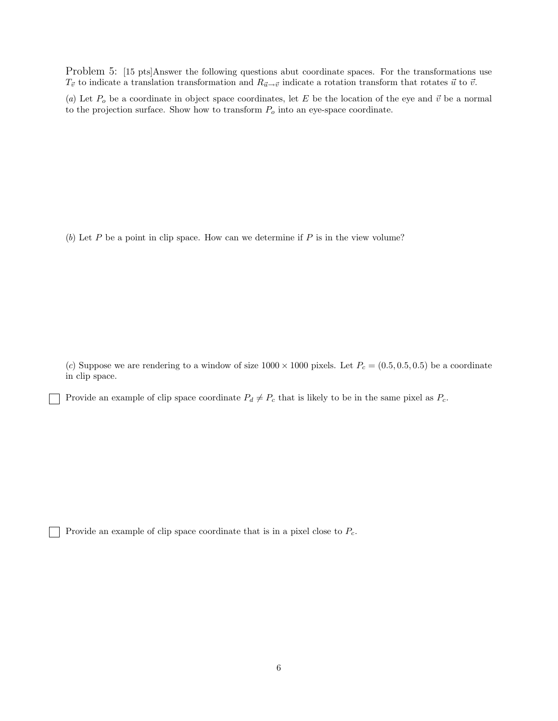Problem 5: [15 pts]Answer the following questions abut coordinate spaces. For the transformations use  $T_{\vec{v}}$  to indicate a translation transformation and  $R_{\vec{u}\to\vec{v}}$  indicate a rotation transform that rotates  $\vec{u}$  to  $\vec{v}$ .

(*a*) Let  $P_o$  be a coordinate in object space coordinates, let E be the location of the eye and  $\vec{v}$  be a normal to the projection surface. Show how to transform  $P_o$  into an eye-space coordinate.

(b) Let P be a point in clip space. How can we determine if P is in the view volume?

(*c*) Suppose we are rendering to a window of size  $1000 \times 1000$  pixels. Let  $P_c = (0.5, 0.5, 0.5)$  be a coordinate in clip space.

Provide an example of clip space coordinate  $P_d \neq P_c$  that is likely to be in the same pixel as  $P_c$ .

Provide an example of clip space coordinate that is in a pixel close to  $P_c$ .